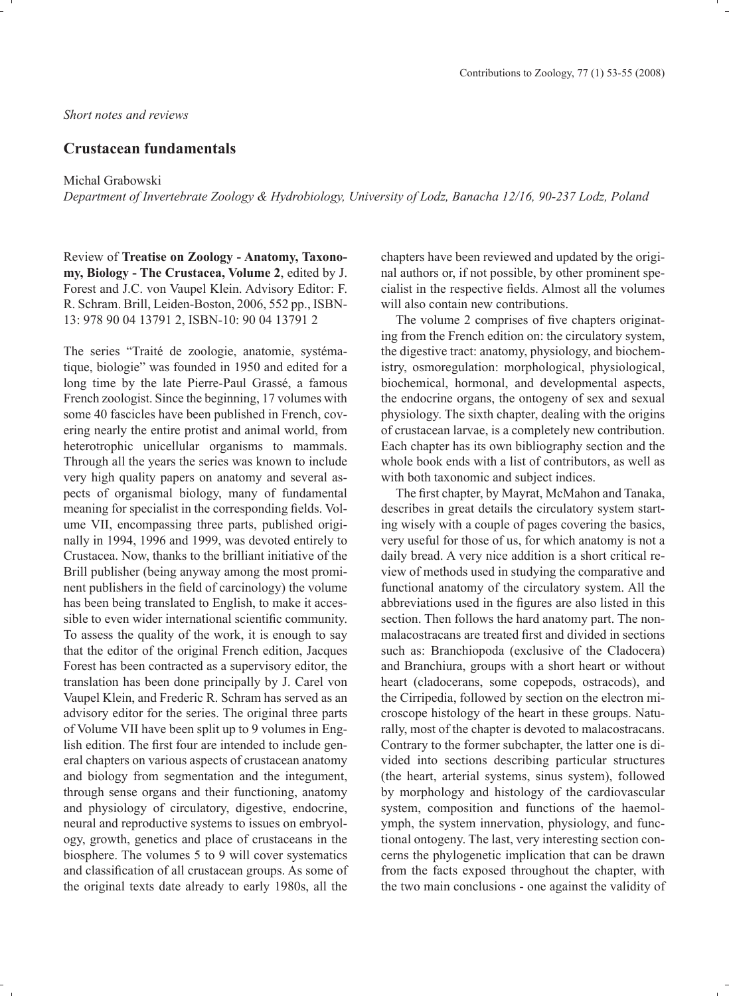## *Short notes and reviews*

## **Crustacean fundamentals**

Michal Grabowski

*Department of Invertebrate Zoology & Hydrobiology, University of Lodz, Banacha 12/16, 90-237 Lodz, Poland*

Review of **Treatise on Zoology - Anatomy, Taxonomy, Biology - The Crustacea, Volume 2**, edited by J. Forest and J.C. von Vaupel Klein. Advisory Editor: F. R. Schram. Brill, Leiden-Boston, 2006, 552 pp., ISBN-13: 978 90 04 13791 2, ISBN-10: 90 04 13791 2

The series "Traité de zoologie, anatomie, systématique, biologie" was founded in 1950 and edited for a long time by the late Pierre-Paul Grassé, a famous French zoologist. Since the beginning, 17 volumes with some 40 fascicles have been published in French, covering nearly the entire protist and animal world, from heterotrophic unicellular organisms to mammals. Through all the years the series was known to include very high quality papers on anatomy and several aspects of organismal biology, many of fundamental meaning for specialist in the corresponding fields. Volume VII, encompassing three parts, published originally in 1994, 1996 and 1999, was devoted entirely to Crustacea. Now, thanks to the brilliant initiative of the Brill publisher (being anyway among the most prominent publishers in the field of carcinology) the volume has been being translated to English, to make it accessible to even wider international scientific community. To assess the quality of the work, it is enough to say that the editor of the original French edition, Jacques Forest has been contracted as a supervisory editor, the translation has been done principally by J. Carel von Vaupel Klein, and Frederic R. Schram has served as an advisory editor for the series. The original three parts of Volume VII have been split up to 9 volumes in English edition. The first four are intended to include general chapters on various aspects of crustacean anatomy and biology from segmentation and the integument, through sense organs and their functioning, anatomy and physiology of circulatory, digestive, endocrine, neural and reproductive systems to issues on embryology, growth, genetics and place of crustaceans in the biosphere. The volumes 5 to 9 will cover systematics and classification of all crustacean groups. As some of the original texts date already to early 1980s, all the

chapters have been reviewed and updated by the original authors or, if not possible, by other prominent specialist in the respective fields. Almost all the volumes will also contain new contributions.

The volume 2 comprises of five chapters originating from the French edition on: the circulatory system, the digestive tract: anatomy, physiology, and biochemistry, osmoregulation: morphological, physiological, biochemical, hormonal, and developmental aspects, the endocrine organs, the ontogeny of sex and sexual physiology. The sixth chapter, dealing with the origins of crustacean larvae, is a completely new contribution. Each chapter has its own bibliography section and the whole book ends with a list of contributors, as well as with both taxonomic and subject indices.

The first chapter, by Mayrat, McMahon and Tanaka, describes in great details the circulatory system starting wisely with a couple of pages covering the basics, very useful for those of us, for which anatomy is not a daily bread. A very nice addition is a short critical review of methods used in studying the comparative and functional anatomy of the circulatory system. All the abbreviations used in the figures are also listed in this section. Then follows the hard anatomy part. The nonmalacostracans are treated first and divided in sections such as: Branchiopoda (exclusive of the Cladocera) and Branchiura, groups with a short heart or without heart (cladocerans, some copepods, ostracods), and the Cirripedia, followed by section on the electron microscope histology of the heart in these groups. Naturally, most of the chapter is devoted to malacostracans. Contrary to the former subchapter, the latter one is divided into sections describing particular structures (the heart, arterial systems, sinus system), followed by morphology and histology of the cardiovascular system, composition and functions of the haemolymph, the system innervation, physiology, and functional ontogeny. The last, very interesting section concerns the phylogenetic implication that can be drawn from the facts exposed throughout the chapter, with the two main conclusions - one against the validity of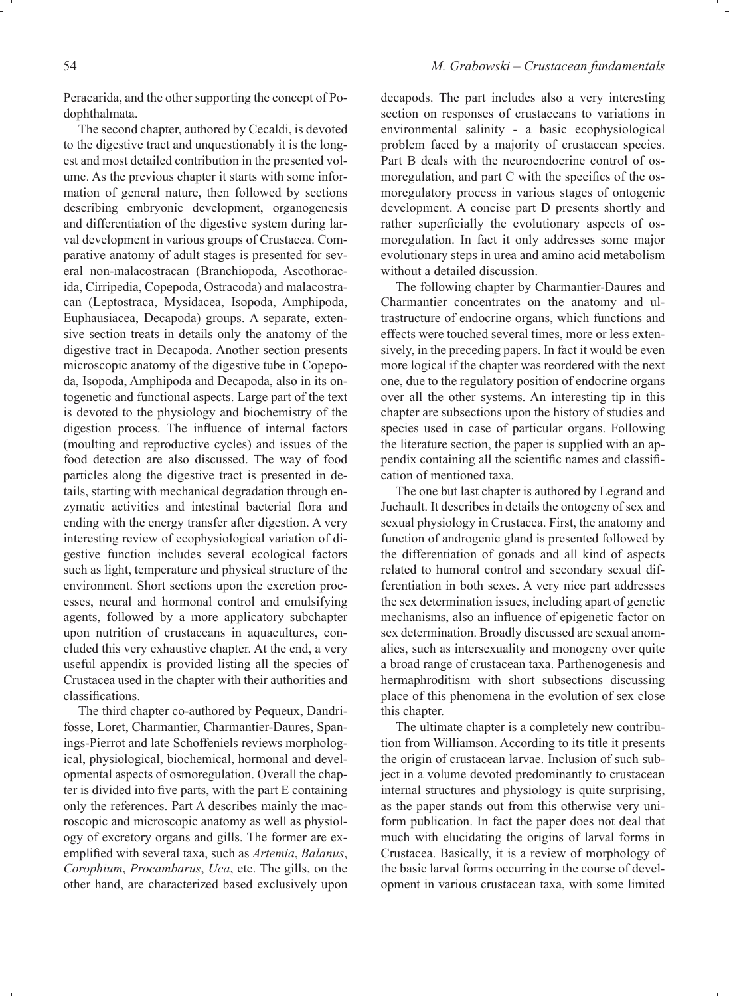Peracarida, and the other supporting the concept of Podophthalmata.

 The second chapter, authored by Cecaldi, is devoted to the digestive tract and unquestionably it is the longest and most detailed contribution in the presented volume. As the previous chapter it starts with some information of general nature, then followed by sections describing embryonic development, organogenesis and differentiation of the digestive system during larval development in various groups of Crustacea. Comparative anatomy of adult stages is presented for several non-malacostracan (Branchiopoda, Ascothoracida, Cirripedia, Copepoda, Ostracoda) and malacostracan (Leptostraca, Mysidacea, Isopoda, Amphipoda, Euphausiacea, Decapoda) groups. A separate, extensive section treats in details only the anatomy of the digestive tract in Decapoda. Another section presents microscopic anatomy of the digestive tube in Copepoda, Isopoda, Amphipoda and Decapoda, also in its ontogenetic and functional aspects. Large part of the text is devoted to the physiology and biochemistry of the digestion process. The influence of internal factors (moulting and reproductive cycles) and issues of the food detection are also discussed. The way of food particles along the digestive tract is presented in details, starting with mechanical degradation through enzymatic activities and intestinal bacterial flora and ending with the energy transfer after digestion. A very interesting review of ecophysiological variation of digestive function includes several ecological factors such as light, temperature and physical structure of the environment. Short sections upon the excretion processes, neural and hormonal control and emulsifying agents, followed by a more applicatory subchapter upon nutrition of crustaceans in aquacultures, concluded this very exhaustive chapter. At the end, a very useful appendix is provided listing all the species of Crustacea used in the chapter with their authorities and classifications.

 The third chapter co-authored by Pequeux, Dandrifosse, Loret, Charmantier, Charmantier-Daures, Spanings-Pierrot and late Schoffeniels reviews morphological, physiological, biochemical, hormonal and developmental aspects of osmoregulation. Overall the chapter is divided into five parts, with the part E containing only the references. Part A describes mainly the macroscopic and microscopic anatomy as well as physiology of excretory organs and gills. The former are exemplified with several taxa, such as *Artemia*, *Balanus*, *Corophium*, *Procambarus*, *Uca*, etc. The gills, on the other hand, are characterized based exclusively upon

decapods. The part includes also a very interesting section on responses of crustaceans to variations in environmental salinity - a basic ecophysiological problem faced by a majority of crustacean species. Part B deals with the neuroendocrine control of osmoregulation, and part  $C$  with the specifics of the osmoregulatory process in various stages of ontogenic development. A concise part D presents shortly and rather superficially the evolutionary aspects of osmoregulation. In fact it only addresses some major evolutionary steps in urea and amino acid metabolism without a detailed discussion.

 The following chapter by Charmantier-Daures and Charmantier concentrates on the anatomy and ultrastructure of endocrine organs, which functions and effects were touched several times, more or less extensively, in the preceding papers. In fact it would be even more logical if the chapter was reordered with the next one, due to the regulatory position of endocrine organs over all the other systems. An interesting tip in this chapter are subsections upon the history of studies and species used in case of particular organs. Following the literature section, the paper is supplied with an appendix containing all the scientific names and classification of mentioned taxa.

 The one but last chapter is authored by Legrand and Juchault. It describes in details the ontogeny of sex and sexual physiology in Crustacea. First, the anatomy and function of androgenic gland is presented followed by the differentiation of gonads and all kind of aspects related to humoral control and secondary sexual differentiation in both sexes. A very nice part addresses the sex determination issues, including apart of genetic mechanisms, also an influence of epigenetic factor on sex determination. Broadly discussed are sexual anomalies, such as intersexuality and monogeny over quite a broad range of crustacean taxa. Parthenogenesis and hermaphroditism with short subsections discussing place of this phenomena in the evolution of sex close this chapter.

 The ultimate chapter is a completely new contribution from Williamson. According to its title it presents the origin of crustacean larvae. Inclusion of such subject in a volume devoted predominantly to crustacean internal structures and physiology is quite surprising, as the paper stands out from this otherwise very uniform publication. In fact the paper does not deal that much with elucidating the origins of larval forms in Crustacea. Basically, it is a review of morphology of the basic larval forms occurring in the course of development in various crustacean taxa, with some limited